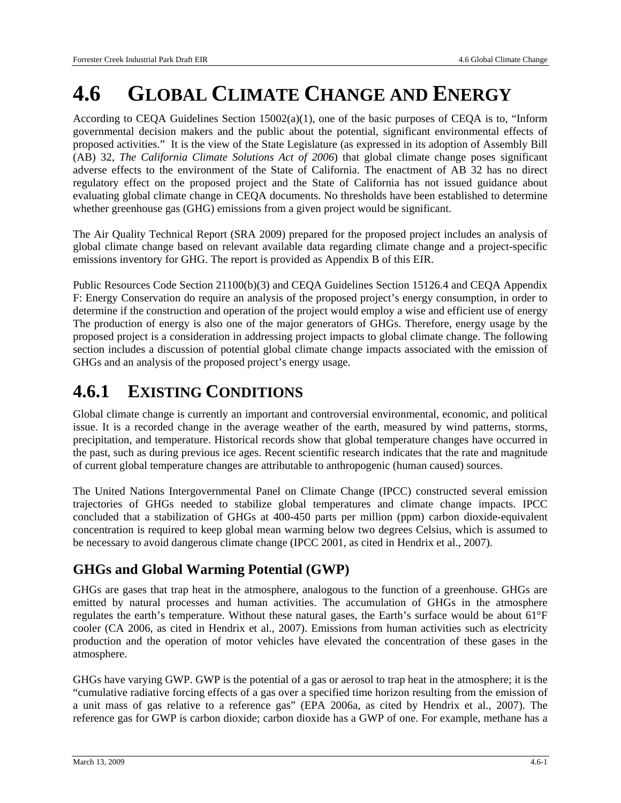# **4.6 GLOBAL CLIMATE CHANGE AND ENERGY**

According to CEQA Guidelines Section  $15002(a)(1)$ , one of the basic purposes of CEQA is to, "Inform governmental decision makers and the public about the potential, significant environmental effects of proposed activities." It is the view of the State Legislature (as expressed in its adoption of Assembly Bill (AB) 32, *The California Climate Solutions Act of 2006*) that global climate change poses significant adverse effects to the environment of the State of California. The enactment of AB 32 has no direct regulatory effect on the proposed project and the State of California has not issued guidance about evaluating global climate change in CEQA documents. No thresholds have been established to determine whether greenhouse gas (GHG) emissions from a given project would be significant.

The Air Quality Technical Report (SRA 2009) prepared for the proposed project includes an analysis of global climate change based on relevant available data regarding climate change and a project-specific emissions inventory for GHG. The report is provided as Appendix B of this EIR.

Public Resources Code Section 21100(b)(3) and CEQA Guidelines Section 15126.4 and CEQA Appendix F: Energy Conservation do require an analysis of the proposed project's energy consumption, in order to determine if the construction and operation of the project would employ a wise and efficient use of energy The production of energy is also one of the major generators of GHGs. Therefore, energy usage by the proposed project is a consideration in addressing project impacts to global climate change. The following section includes a discussion of potential global climate change impacts associated with the emission of GHGs and an analysis of the proposed project's energy usage.

## **4.6.1 EXISTING CONDITIONS**

Global climate change is currently an important and controversial environmental, economic, and political issue. It is a recorded change in the average weather of the earth, measured by wind patterns, storms, precipitation, and temperature. Historical records show that global temperature changes have occurred in the past, such as during previous ice ages. Recent scientific research indicates that the rate and magnitude of current global temperature changes are attributable to anthropogenic (human caused) sources.

The United Nations Intergovernmental Panel on Climate Change (IPCC) constructed several emission trajectories of GHGs needed to stabilize global temperatures and climate change impacts. IPCC concluded that a stabilization of GHGs at 400-450 parts per million (ppm) carbon dioxide-equivalent concentration is required to keep global mean warming below two degrees Celsius, which is assumed to be necessary to avoid dangerous climate change (IPCC 2001, as cited in Hendrix et al., 2007).

## **GHGs and Global Warming Potential (GWP)**

GHGs are gases that trap heat in the atmosphere, analogous to the function of a greenhouse. GHGs are emitted by natural processes and human activities. The accumulation of GHGs in the atmosphere regulates the earth's temperature. Without these natural gases, the Earth's surface would be about 61°F cooler (CA 2006, as cited in Hendrix et al., 2007). Emissions from human activities such as electricity production and the operation of motor vehicles have elevated the concentration of these gases in the atmosphere.

GHGs have varying GWP. GWP is the potential of a gas or aerosol to trap heat in the atmosphere; it is the "cumulative radiative forcing effects of a gas over a specified time horizon resulting from the emission of a unit mass of gas relative to a reference gas" (EPA 2006a, as cited by Hendrix et al., 2007). The reference gas for GWP is carbon dioxide; carbon dioxide has a GWP of one. For example, methane has a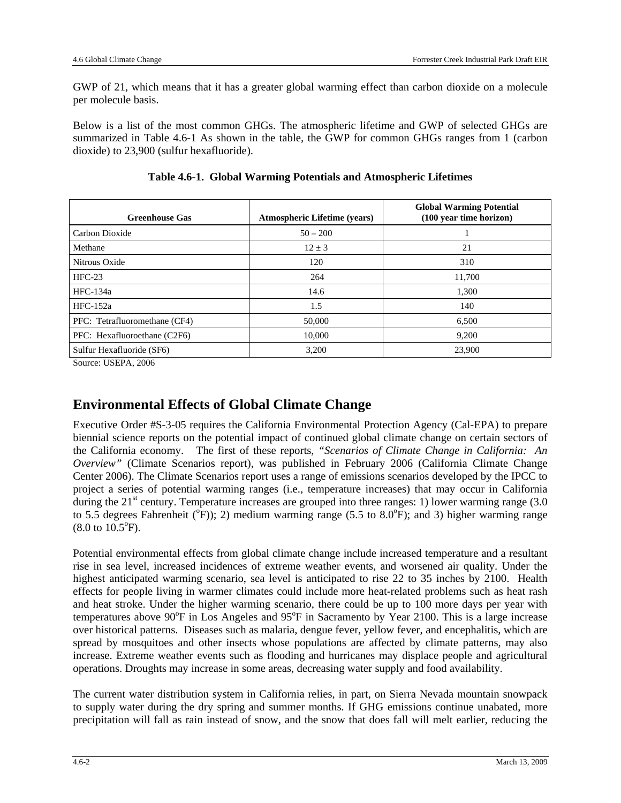GWP of 21, which means that it has a greater global warming effect than carbon dioxide on a molecule per molecule basis.

Below is a list of the most common GHGs. The atmospheric lifetime and GWP of selected GHGs are summarized in Table 4.6-1 As shown in the table, the GWP for common GHGs ranges from 1 (carbon dioxide) to 23,900 (sulfur hexafluoride).

| <b>Greenhouse Gas</b>         | <b>Atmospheric Lifetime (years)</b> | <b>Global Warming Potential</b><br>(100 year time horizon) |
|-------------------------------|-------------------------------------|------------------------------------------------------------|
| Carbon Dioxide                | $50 - 200$                          |                                                            |
| Methane                       | $12 \pm 3$                          | 21                                                         |
| Nitrous Oxide                 | 120                                 | 310                                                        |
| $HFC-23$                      | 264                                 | 11,700                                                     |
| HFC-134a                      | 14.6                                | 1,300                                                      |
| $HFC-152a$                    | 1.5                                 | 140                                                        |
| PFC: Tetrafluoromethane (CF4) | 50,000                              | 6,500                                                      |
| PFC: Hexafluoroethane (C2F6)  | 10,000                              | 9,200                                                      |
| Sulfur Hexafluoride (SF6)     | 3,200                               | 23,900                                                     |

|  | Table 4.6-1. Global Warming Potentials and Atmospheric Lifetimes |  |  |  |
|--|------------------------------------------------------------------|--|--|--|
|--|------------------------------------------------------------------|--|--|--|

Source: USEPA, 2006

## **Environmental Effects of Global Climate Change**

Executive Order #S-3-05 requires the California Environmental Protection Agency (Cal-EPA) to prepare biennial science reports on the potential impact of continued global climate change on certain sectors of the California economy. The first of these reports, *"Scenarios of Climate Change in California: An Overview"* (Climate Scenarios report), was published in February 2006 (California Climate Change Center 2006). The Climate Scenarios report uses a range of emissions scenarios developed by the IPCC to project a series of potential warming ranges (i.e., temperature increases) that may occur in California during the  $21<sup>st</sup>$  century. Temperature increases are grouped into three ranges: 1) lower warming range (3.0) to 5.5 degrees Fahrenheit ( $^{\circ}$ F)); 2) medium warming range (5.5 to 8.0 $^{\circ}$ F); and 3) higher warming range  $(8.0 \text{ to } 10.5^{\circ} \text{F}).$ 

Potential environmental effects from global climate change include increased temperature and a resultant rise in sea level, increased incidences of extreme weather events, and worsened air quality. Under the highest anticipated warming scenario, sea level is anticipated to rise 22 to 35 inches by 2100. Health effects for people living in warmer climates could include more heat-related problems such as heat rash and heat stroke. Under the higher warming scenario, there could be up to 100 more days per year with temperatures above  $90^{\circ}$ F in Los Angeles and  $95^{\circ}$ F in Sacramento by Year 2100. This is a large increase over historical patterns. Diseases such as malaria, dengue fever, yellow fever, and encephalitis, which are spread by mosquitoes and other insects whose populations are affected by climate patterns, may also increase. Extreme weather events such as flooding and hurricanes may displace people and agricultural operations. Droughts may increase in some areas, decreasing water supply and food availability.

The current water distribution system in California relies, in part, on Sierra Nevada mountain snowpack to supply water during the dry spring and summer months. If GHG emissions continue unabated, more precipitation will fall as rain instead of snow, and the snow that does fall will melt earlier, reducing the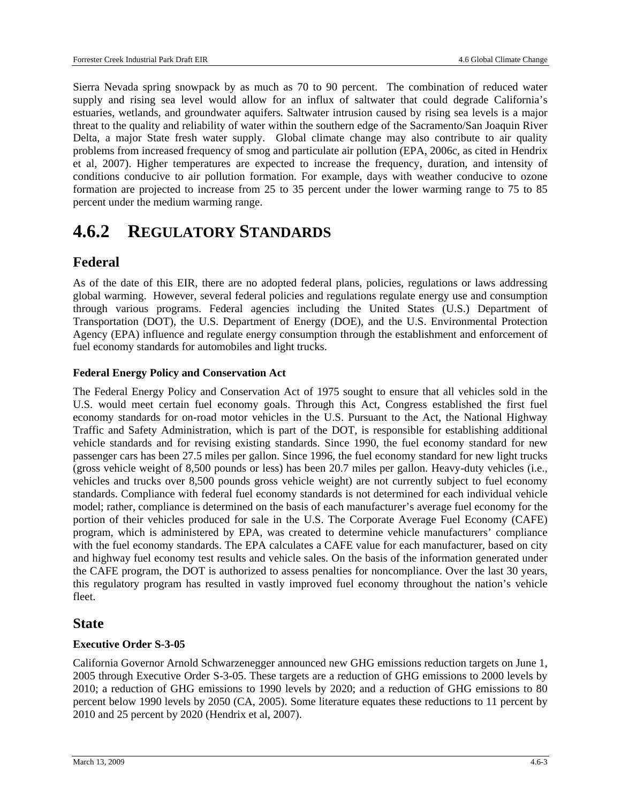Sierra Nevada spring snowpack by as much as 70 to 90 percent. The combination of reduced water supply and rising sea level would allow for an influx of saltwater that could degrade California's estuaries, wetlands, and groundwater aquifers. Saltwater intrusion caused by rising sea levels is a major threat to the quality and reliability of water within the southern edge of the Sacramento/San Joaquin River Delta, a major State fresh water supply. Global climate change may also contribute to air quality problems from increased frequency of smog and particulate air pollution (EPA, 2006c, as cited in Hendrix et al, 2007). Higher temperatures are expected to increase the frequency, duration, and intensity of conditions conducive to air pollution formation. For example, days with weather conducive to ozone formation are projected to increase from 25 to 35 percent under the lower warming range to 75 to 85 percent under the medium warming range.

## **4.6.2 REGULATORY STANDARDS**

## **Federal**

As of the date of this EIR, there are no adopted federal plans, policies, regulations or laws addressing global warming. However, several federal policies and regulations regulate energy use and consumption through various programs. Federal agencies including the United States (U.S.) Department of Transportation (DOT), the U.S. Department of Energy (DOE), and the U.S. Environmental Protection Agency (EPA) influence and regulate energy consumption through the establishment and enforcement of fuel economy standards for automobiles and light trucks.

#### **Federal Energy Policy and Conservation Act**

The Federal Energy Policy and Conservation Act of 1975 sought to ensure that all vehicles sold in the U.S. would meet certain fuel economy goals. Through this Act, Congress established the first fuel economy standards for on-road motor vehicles in the U.S. Pursuant to the Act, the National Highway Traffic and Safety Administration, which is part of the DOT, is responsible for establishing additional vehicle standards and for revising existing standards. Since 1990, the fuel economy standard for new passenger cars has been 27.5 miles per gallon. Since 1996, the fuel economy standard for new light trucks (gross vehicle weight of 8,500 pounds or less) has been 20.7 miles per gallon. Heavy-duty vehicles (i.e., vehicles and trucks over 8,500 pounds gross vehicle weight) are not currently subject to fuel economy standards. Compliance with federal fuel economy standards is not determined for each individual vehicle model; rather, compliance is determined on the basis of each manufacturer's average fuel economy for the portion of their vehicles produced for sale in the U.S. The Corporate Average Fuel Economy (CAFE) program, which is administered by EPA, was created to determine vehicle manufacturers' compliance with the fuel economy standards. The EPA calculates a CAFE value for each manufacturer, based on city and highway fuel economy test results and vehicle sales. On the basis of the information generated under the CAFE program, the DOT is authorized to assess penalties for noncompliance. Over the last 30 years, this regulatory program has resulted in vastly improved fuel economy throughout the nation's vehicle fleet.

## **State**

#### **Executive Order S-3-05**

California Governor Arnold Schwarzenegger announced new GHG emissions reduction targets on June 1, 2005 through Executive Order S-3-05. These targets are a reduction of GHG emissions to 2000 levels by 2010; a reduction of GHG emissions to 1990 levels by 2020; and a reduction of GHG emissions to 80 percent below 1990 levels by 2050 (CA, 2005). Some literature equates these reductions to 11 percent by 2010 and 25 percent by 2020 (Hendrix et al, 2007).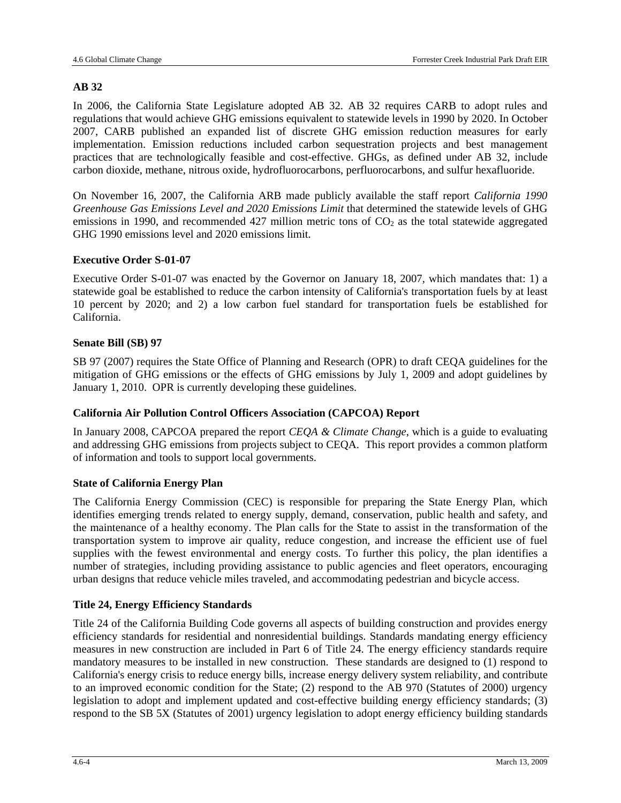#### **AB 32**

In 2006, the California State Legislature adopted AB 32. AB 32 requires CARB to adopt rules and regulations that would achieve GHG emissions equivalent to statewide levels in 1990 by 2020. In October 2007, CARB published an expanded list of discrete GHG emission reduction measures for early implementation. Emission reductions included carbon sequestration projects and best management practices that are technologically feasible and cost-effective. GHGs, as defined under AB 32, include carbon dioxide, methane, nitrous oxide, hydrofluorocarbons, perfluorocarbons, and sulfur hexafluoride.

On November 16, 2007, the California ARB made publicly available the staff report *California 1990 Greenhouse Gas Emissions Level and 2020 Emissions Limit* that determined the statewide levels of GHG emissions in 1990, and recommended 427 million metric tons of  $CO<sub>2</sub>$  as the total statewide aggregated GHG 1990 emissions level and 2020 emissions limit.

#### **Executive Order S-01-07**

Executive Order S-01-07 was enacted by the Governor on January 18, 2007, which mandates that: 1) a statewide goal be established to reduce the carbon intensity of California's transportation fuels by at least 10 percent by 2020; and 2) a low carbon fuel standard for transportation fuels be established for California.

#### **Senate Bill (SB) 97**

SB 97 (2007) requires the State Office of Planning and Research (OPR) to draft CEQA guidelines for the mitigation of GHG emissions or the effects of GHG emissions by July 1, 2009 and adopt guidelines by January 1, 2010. OPR is currently developing these guidelines.

#### **California Air Pollution Control Officers Association (CAPCOA) Report**

In January 2008, CAPCOA prepared the report *CEQA & Climate Change*, which is a guide to evaluating and addressing GHG emissions from projects subject to CEQA. This report provides a common platform of information and tools to support local governments.

#### **State of California Energy Plan**

The California Energy Commission (CEC) is responsible for preparing the State Energy Plan, which identifies emerging trends related to energy supply, demand, conservation, public health and safety, and the maintenance of a healthy economy. The Plan calls for the State to assist in the transformation of the transportation system to improve air quality, reduce congestion, and increase the efficient use of fuel supplies with the fewest environmental and energy costs. To further this policy, the plan identifies a number of strategies, including providing assistance to public agencies and fleet operators, encouraging urban designs that reduce vehicle miles traveled, and accommodating pedestrian and bicycle access.

#### **Title 24, Energy Efficiency Standards**

Title 24 of the California Building Code governs all aspects of building construction and provides energy efficiency standards for residential and nonresidential buildings. Standards mandating energy efficiency measures in new construction are included in Part 6 of Title 24. The energy efficiency standards require mandatory measures to be installed in new construction. These standards are designed to (1) respond to California's energy crisis to reduce energy bills, increase energy delivery system reliability, and contribute to an improved economic condition for the State; (2) respond to the AB 970 (Statutes of 2000) urgency legislation to adopt and implement updated and cost-effective building energy efficiency standards; (3) respond to the SB 5X (Statutes of 2001) urgency legislation to adopt energy efficiency building standards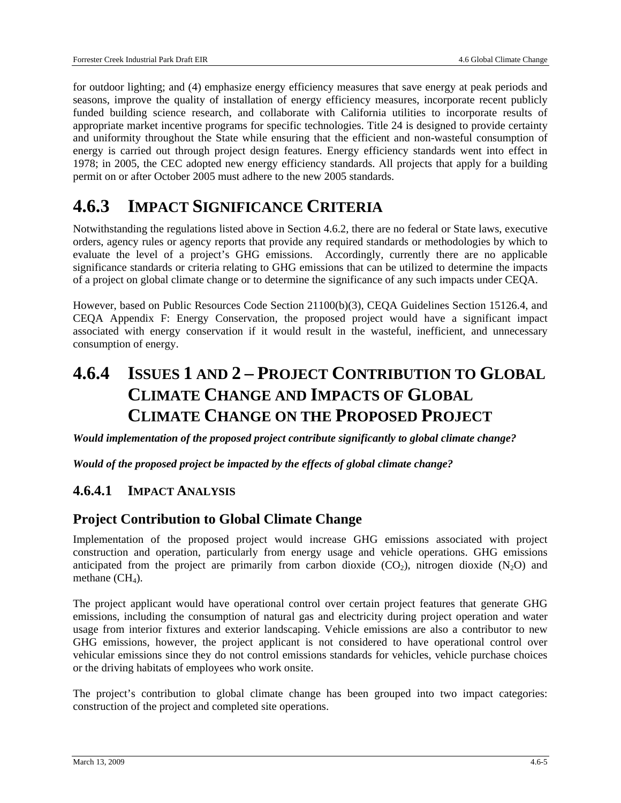for outdoor lighting; and (4) emphasize energy efficiency measures that save energy at peak periods and seasons, improve the quality of installation of energy efficiency measures, incorporate recent publicly funded building science research, and collaborate with California utilities to incorporate results of appropriate market incentive programs for specific technologies. Title 24 is designed to provide certainty and uniformity throughout the State while ensuring that the efficient and non-wasteful consumption of energy is carried out through project design features. Energy efficiency standards went into effect in 1978; in 2005, the CEC adopted new energy efficiency standards. All projects that apply for a building permit on or after October 2005 must adhere to the new 2005 standards.

## **4.6.3 IMPACT SIGNIFICANCE CRITERIA**

Notwithstanding the regulations listed above in Section 4.6.2, there are no federal or State laws, executive orders, agency rules or agency reports that provide any required standards or methodologies by which to evaluate the level of a project's GHG emissions. Accordingly, currently there are no applicable significance standards or criteria relating to GHG emissions that can be utilized to determine the impacts of a project on global climate change or to determine the significance of any such impacts under CEQA.

However, based on Public Resources Code Section 21100(b)(3), CEQA Guidelines Section 15126.4, and CEQA Appendix F: Energy Conservation, the proposed project would have a significant impact associated with energy conservation if it would result in the wasteful, inefficient, and unnecessary consumption of energy.

## **4.6.4 ISSUES 1 AND 2 – PROJECT CONTRIBUTION TO GLOBAL CLIMATE CHANGE AND IMPACTS OF GLOBAL CLIMATE CHANGE ON THE PROPOSED PROJECT**

*Would implementation of the proposed project contribute significantly to global climate change?* 

*Would of the proposed project be impacted by the effects of global climate change?* 

## **4.6.4.1 IMPACT ANALYSIS**

## **Project Contribution to Global Climate Change**

Implementation of the proposed project would increase GHG emissions associated with project construction and operation, particularly from energy usage and vehicle operations. GHG emissions anticipated from the project are primarily from carbon dioxide  $(CO<sub>2</sub>)$ , nitrogen dioxide  $(N<sub>2</sub>O)$  and methane  $(CH<sub>4</sub>)$ .

The project applicant would have operational control over certain project features that generate GHG emissions, including the consumption of natural gas and electricity during project operation and water usage from interior fixtures and exterior landscaping. Vehicle emissions are also a contributor to new GHG emissions, however, the project applicant is not considered to have operational control over vehicular emissions since they do not control emissions standards for vehicles, vehicle purchase choices or the driving habitats of employees who work onsite.

The project's contribution to global climate change has been grouped into two impact categories: construction of the project and completed site operations.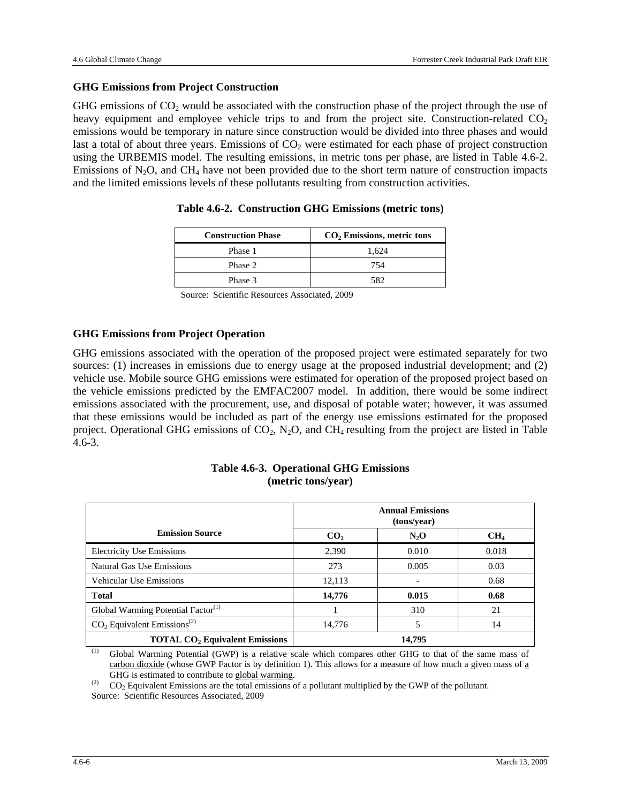#### **GHG Emissions from Project Construction**

GHG emissions of  $CO<sub>2</sub>$  would be associated with the construction phase of the project through the use of heavy equipment and employee vehicle trips to and from the project site. Construction-related  $CO<sub>2</sub>$ emissions would be temporary in nature since construction would be divided into three phases and would last a total of about three years. Emissions of  $CO<sub>2</sub>$  were estimated for each phase of project construction using the URBEMIS model. The resulting emissions, in metric tons per phase, are listed in Table 4.6-2. Emissions of  $N_2O$ , and CH<sub>4</sub> have not been provided due to the short term nature of construction impacts and the limited emissions levels of these pollutants resulting from construction activities.

| <b>Construction Phase</b> | $CO2$ Emissions, metric tons |
|---------------------------|------------------------------|
| Phase 1                   | 1.624                        |
| Phase 2                   | 754                          |
| Phase 3                   | 582                          |

#### **Table 4.6-2. Construction GHG Emissions (metric tons)**

Source: Scientific Resources Associated, 2009

#### **GHG Emissions from Project Operation**

GHG emissions associated with the operation of the proposed project were estimated separately for two sources: (1) increases in emissions due to energy usage at the proposed industrial development; and (2) vehicle use. Mobile source GHG emissions were estimated for operation of the proposed project based on the vehicle emissions predicted by the EMFAC2007 model. In addition, there would be some indirect emissions associated with the procurement, use, and disposal of potable water; however, it was assumed that these emissions would be included as part of the energy use emissions estimated for the proposed project. Operational GHG emissions of  $CO_2$ , N<sub>2</sub>O, and CH<sub>4</sub> resulting from the project are listed in Table 4.6-3.

|                                                  | <b>Annual Emissions</b><br>(tons/year) |         |                 |
|--------------------------------------------------|----------------------------------------|---------|-----------------|
| <b>Emission Source</b>                           | CO <sub>2</sub>                        | $N_2$ O | CH <sub>4</sub> |
| <b>Electricity Use Emissions</b>                 | 2,390                                  | 0.010   | 0.018           |
| Natural Gas Use Emissions                        | 273                                    | 0.005   | 0.03            |
| <b>Vehicular Use Emissions</b>                   | 12,113                                 |         | 0.68            |
| <b>Total</b>                                     | 14,776                                 | 0.015   | 0.68            |
| Global Warming Potential Factor $(1)$            |                                        | 310     | 21              |
| $CO2$ Equivalent Emissions <sup>(2)</sup>        | 14,776                                 |         | 14              |
| <b>TOTAL CO<sub>2</sub></b> Equivalent Emissions |                                        | 14,795  |                 |

#### **Table 4.6-3. Operational GHG Emissions (metric tons/year)**

 $\overline{(\text{1})}$  Global Warming Potential (GWP) is a relative scale which compares other GHG to that of the same mass of carbon dioxide (whose GWP Factor is by definition 1). This allows for a measure of how much a given mass of  $\underline{a}$ <br>GHG is estimated to contribute to global warming.

 $^{(2)}$  CO<sub>2</sub> Equivalent Emissions are the total emissions of a pollutant multiplied by the GWP of the pollutant.

Source: Scientific Resources Associated, 2009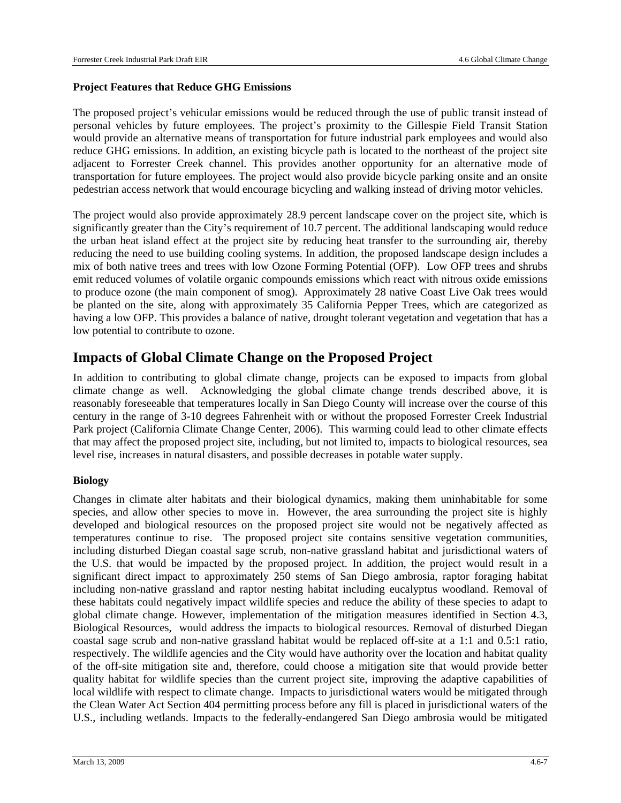#### **Project Features that Reduce GHG Emissions**

The proposed project's vehicular emissions would be reduced through the use of public transit instead of personal vehicles by future employees. The project's proximity to the Gillespie Field Transit Station would provide an alternative means of transportation for future industrial park employees and would also reduce GHG emissions. In addition, an existing bicycle path is located to the northeast of the project site adjacent to Forrester Creek channel. This provides another opportunity for an alternative mode of transportation for future employees. The project would also provide bicycle parking onsite and an onsite pedestrian access network that would encourage bicycling and walking instead of driving motor vehicles.

The project would also provide approximately 28.9 percent landscape cover on the project site, which is significantly greater than the City's requirement of 10.7 percent. The additional landscaping would reduce the urban heat island effect at the project site by reducing heat transfer to the surrounding air, thereby reducing the need to use building cooling systems. In addition, the proposed landscape design includes a mix of both native trees and trees with low Ozone Forming Potential (OFP). Low OFP trees and shrubs emit reduced volumes of volatile organic compounds emissions which react with nitrous oxide emissions to produce ozone (the main component of smog). Approximately 28 native Coast Live Oak trees would be planted on the site, along with approximately 35 California Pepper Trees, which are categorized as having a low OFP. This provides a balance of native, drought tolerant vegetation and vegetation that has a low potential to contribute to ozone.

## **Impacts of Global Climate Change on the Proposed Project**

In addition to contributing to global climate change, projects can be exposed to impacts from global climate change as well. Acknowledging the global climate change trends described above, it is reasonably foreseeable that temperatures locally in San Diego County will increase over the course of this century in the range of 3-10 degrees Fahrenheit with or without the proposed Forrester Creek Industrial Park project (California Climate Change Center, 2006). This warming could lead to other climate effects that may affect the proposed project site, including, but not limited to, impacts to biological resources, sea level rise, increases in natural disasters, and possible decreases in potable water supply.

#### **Biology**

Changes in climate alter habitats and their biological dynamics, making them uninhabitable for some species, and allow other species to move in. However, the area surrounding the project site is highly developed and biological resources on the proposed project site would not be negatively affected as temperatures continue to rise. The proposed project site contains sensitive vegetation communities, including disturbed Diegan coastal sage scrub, non-native grassland habitat and jurisdictional waters of the U.S. that would be impacted by the proposed project. In addition, the project would result in a significant direct impact to approximately 250 stems of San Diego ambrosia, raptor foraging habitat including non-native grassland and raptor nesting habitat including eucalyptus woodland. Removal of these habitats could negatively impact wildlife species and reduce the ability of these species to adapt to global climate change. However, implementation of the mitigation measures identified in Section 4.3, Biological Resources, would address the impacts to biological resources. Removal of disturbed Diegan coastal sage scrub and non-native grassland habitat would be replaced off-site at a 1:1 and 0.5:1 ratio, respectively. The wildlife agencies and the City would have authority over the location and habitat quality of the off-site mitigation site and, therefore, could choose a mitigation site that would provide better quality habitat for wildlife species than the current project site, improving the adaptive capabilities of local wildlife with respect to climate change. Impacts to jurisdictional waters would be mitigated through the Clean Water Act Section 404 permitting process before any fill is placed in jurisdictional waters of the U.S., including wetlands. Impacts to the federally-endangered San Diego ambrosia would be mitigated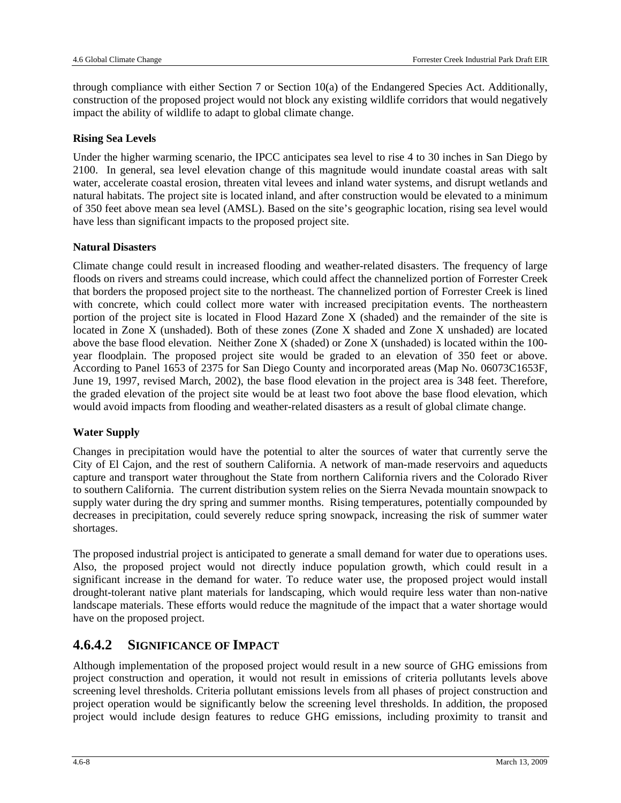through compliance with either Section 7 or Section 10(a) of the Endangered Species Act. Additionally, construction of the proposed project would not block any existing wildlife corridors that would negatively impact the ability of wildlife to adapt to global climate change.

#### **Rising Sea Levels**

Under the higher warming scenario, the IPCC anticipates sea level to rise 4 to 30 inches in San Diego by 2100. In general, sea level elevation change of this magnitude would inundate coastal areas with salt water, accelerate coastal erosion, threaten vital levees and inland water systems, and disrupt wetlands and natural habitats. The project site is located inland, and after construction would be elevated to a minimum of 350 feet above mean sea level (AMSL). Based on the site's geographic location, rising sea level would have less than significant impacts to the proposed project site.

#### **Natural Disasters**

Climate change could result in increased flooding and weather-related disasters. The frequency of large floods on rivers and streams could increase, which could affect the channelized portion of Forrester Creek that borders the proposed project site to the northeast. The channelized portion of Forrester Creek is lined with concrete, which could collect more water with increased precipitation events. The northeastern portion of the project site is located in Flood Hazard Zone X (shaded) and the remainder of the site is located in Zone X (unshaded). Both of these zones (Zone X shaded and Zone X unshaded) are located above the base flood elevation. Neither Zone X (shaded) or Zone X (unshaded) is located within the 100 year floodplain. The proposed project site would be graded to an elevation of 350 feet or above. According to Panel 1653 of 2375 for San Diego County and incorporated areas (Map No. 06073C1653F, June 19, 1997, revised March, 2002), the base flood elevation in the project area is 348 feet. Therefore, the graded elevation of the project site would be at least two foot above the base flood elevation, which would avoid impacts from flooding and weather-related disasters as a result of global climate change.

#### **Water Supply**

Changes in precipitation would have the potential to alter the sources of water that currently serve the City of El Cajon, and the rest of southern California. A network of man-made reservoirs and aqueducts capture and transport water throughout the State from northern California rivers and the Colorado River to southern California. The current distribution system relies on the Sierra Nevada mountain snowpack to supply water during the dry spring and summer months. Rising temperatures, potentially compounded by decreases in precipitation, could severely reduce spring snowpack, increasing the risk of summer water shortages.

The proposed industrial project is anticipated to generate a small demand for water due to operations uses. Also, the proposed project would not directly induce population growth, which could result in a significant increase in the demand for water. To reduce water use, the proposed project would install drought-tolerant native plant materials for landscaping, which would require less water than non-native landscape materials. These efforts would reduce the magnitude of the impact that a water shortage would have on the proposed project.

## **4.6.4.2 SIGNIFICANCE OF IMPACT**

Although implementation of the proposed project would result in a new source of GHG emissions from project construction and operation, it would not result in emissions of criteria pollutants levels above screening level thresholds. Criteria pollutant emissions levels from all phases of project construction and project operation would be significantly below the screening level thresholds. In addition, the proposed project would include design features to reduce GHG emissions, including proximity to transit and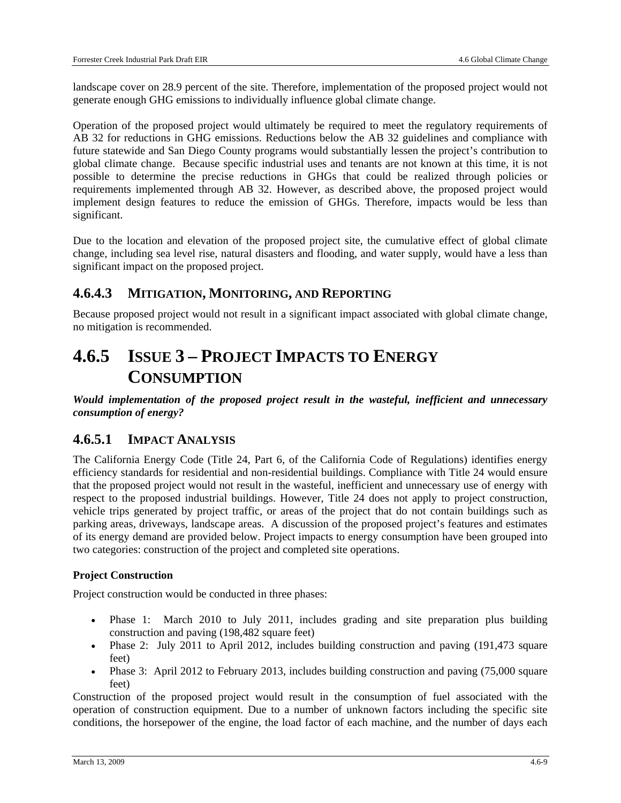landscape cover on 28.9 percent of the site. Therefore, implementation of the proposed project would not generate enough GHG emissions to individually influence global climate change.

Operation of the proposed project would ultimately be required to meet the regulatory requirements of AB 32 for reductions in GHG emissions. Reductions below the AB 32 guidelines and compliance with future statewide and San Diego County programs would substantially lessen the project's contribution to global climate change. Because specific industrial uses and tenants are not known at this time, it is not possible to determine the precise reductions in GHGs that could be realized through policies or requirements implemented through AB 32. However, as described above, the proposed project would implement design features to reduce the emission of GHGs. Therefore, impacts would be less than significant.

Due to the location and elevation of the proposed project site, the cumulative effect of global climate change, including sea level rise, natural disasters and flooding, and water supply, would have a less than significant impact on the proposed project.

### **4.6.4.3 MITIGATION, MONITORING, AND REPORTING**

Because proposed project would not result in a significant impact associated with global climate change, no mitigation is recommended.

## **4.6.5 ISSUE 3 – PROJECT IMPACTS TO ENERGY CONSUMPTION**

*Would implementation of the proposed project result in the wasteful, inefficient and unnecessary consumption of energy?* 

## **4.6.5.1 IMPACT ANALYSIS**

The California Energy Code (Title 24, Part 6, of the California Code of Regulations) identifies energy efficiency standards for residential and non-residential buildings. Compliance with Title 24 would ensure that the proposed project would not result in the wasteful, inefficient and unnecessary use of energy with respect to the proposed industrial buildings. However, Title 24 does not apply to project construction, vehicle trips generated by project traffic, or areas of the project that do not contain buildings such as parking areas, driveways, landscape areas. A discussion of the proposed project's features and estimates of its energy demand are provided below. Project impacts to energy consumption have been grouped into two categories: construction of the project and completed site operations.

#### **Project Construction**

Project construction would be conducted in three phases:

- Phase 1: March 2010 to July 2011, includes grading and site preparation plus building construction and paving (198,482 square feet)
- Phase 2: July 2011 to April 2012, includes building construction and paving (191,473 square feet)
- Phase 3: April 2012 to February 2013, includes building construction and paving (75,000 square feet)

Construction of the proposed project would result in the consumption of fuel associated with the operation of construction equipment. Due to a number of unknown factors including the specific site conditions, the horsepower of the engine, the load factor of each machine, and the number of days each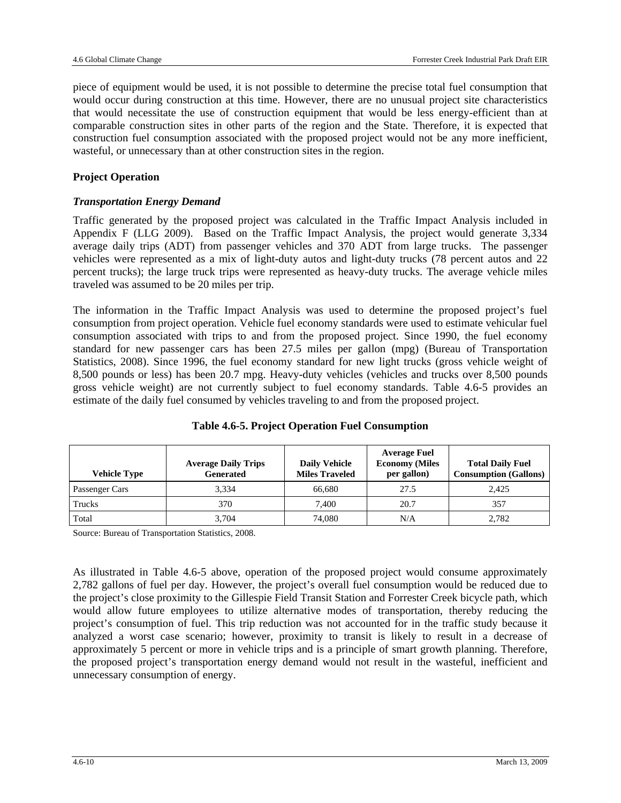piece of equipment would be used, it is not possible to determine the precise total fuel consumption that would occur during construction at this time. However, there are no unusual project site characteristics that would necessitate the use of construction equipment that would be less energy-efficient than at comparable construction sites in other parts of the region and the State. Therefore, it is expected that construction fuel consumption associated with the proposed project would not be any more inefficient, wasteful, or unnecessary than at other construction sites in the region.

#### **Project Operation**

#### *Transportation Energy Demand*

Traffic generated by the proposed project was calculated in the Traffic Impact Analysis included in Appendix F (LLG 2009). Based on the Traffic Impact Analysis, the project would generate 3,334 average daily trips (ADT) from passenger vehicles and 370 ADT from large trucks. The passenger vehicles were represented as a mix of light-duty autos and light-duty trucks (78 percent autos and 22 percent trucks); the large truck trips were represented as heavy-duty trucks. The average vehicle miles traveled was assumed to be 20 miles per trip.

The information in the Traffic Impact Analysis was used to determine the proposed project's fuel consumption from project operation. Vehicle fuel economy standards were used to estimate vehicular fuel consumption associated with trips to and from the proposed project. Since 1990, the fuel economy standard for new passenger cars has been 27.5 miles per gallon (mpg) (Bureau of Transportation Statistics, 2008). Since 1996, the fuel economy standard for new light trucks (gross vehicle weight of 8,500 pounds or less) has been 20.7 mpg. Heavy-duty vehicles (vehicles and trucks over 8,500 pounds gross vehicle weight) are not currently subject to fuel economy standards. Table 4.6-5 provides an estimate of the daily fuel consumed by vehicles traveling to and from the proposed project.

| <b>Vehicle Type</b>   | <b>Average Daily Trips</b><br><b>Generated</b> | <b>Daily Vehicle</b><br><b>Miles Traveled</b> | <b>Average Fuel</b><br><b>Economy (Miles)</b><br>per gallon) | <b>Total Daily Fuel</b><br><b>Consumption (Gallons)</b> |
|-----------------------|------------------------------------------------|-----------------------------------------------|--------------------------------------------------------------|---------------------------------------------------------|
| <b>Passenger Cars</b> | 3.334                                          | 66.680                                        | 27.5                                                         | 2.425                                                   |
| Trucks                | 370                                            | 7.400                                         | 20.7                                                         | 357                                                     |
| Total                 | 3,704                                          | 74,080                                        | N/A                                                          | 2,782                                                   |

**Table 4.6-5. Project Operation Fuel Consumption** 

Source: Bureau of Transportation Statistics, 2008.

As illustrated in Table 4.6-5 above, operation of the proposed project would consume approximately 2,782 gallons of fuel per day. However, the project's overall fuel consumption would be reduced due to the project's close proximity to the Gillespie Field Transit Station and Forrester Creek bicycle path, which would allow future employees to utilize alternative modes of transportation, thereby reducing the project's consumption of fuel. This trip reduction was not accounted for in the traffic study because it analyzed a worst case scenario; however, proximity to transit is likely to result in a decrease of approximately 5 percent or more in vehicle trips and is a principle of smart growth planning. Therefore, the proposed project's transportation energy demand would not result in the wasteful, inefficient and unnecessary consumption of energy.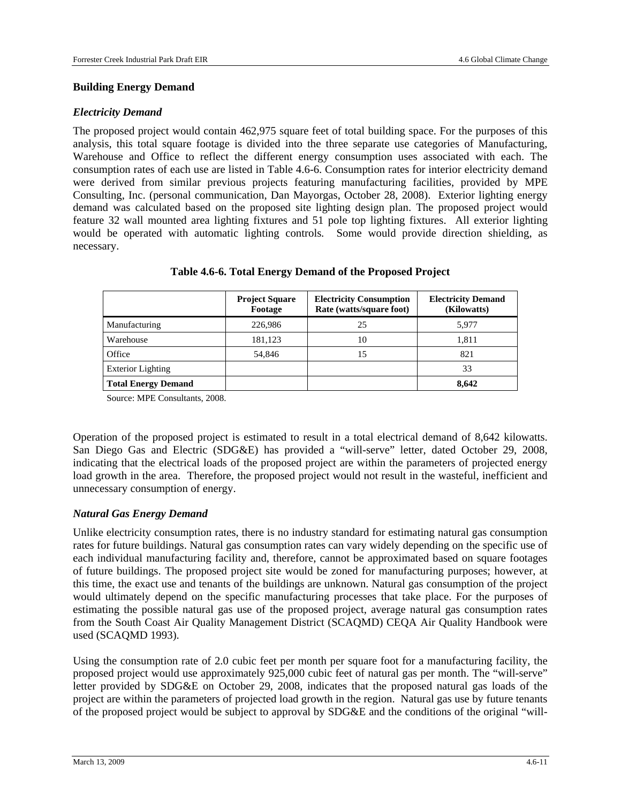#### **Building Energy Demand**

#### *Electricity Demand*

The proposed project would contain 462,975 square feet of total building space. For the purposes of this analysis, this total square footage is divided into the three separate use categories of Manufacturing, Warehouse and Office to reflect the different energy consumption uses associated with each. The consumption rates of each use are listed in Table 4.6-6. Consumption rates for interior electricity demand were derived from similar previous projects featuring manufacturing facilities, provided by MPE Consulting, Inc. (personal communication, Dan Mayorgas, October 28, 2008). Exterior lighting energy demand was calculated based on the proposed site lighting design plan. The proposed project would feature 32 wall mounted area lighting fixtures and 51 pole top lighting fixtures. All exterior lighting would be operated with automatic lighting controls. Some would provide direction shielding, as necessary.

|                            | <b>Project Square</b><br>Footage | <b>Electricity Consumption</b><br>Rate (watts/square foot) | <b>Electricity Demand</b><br>(Kilowatts) |
|----------------------------|----------------------------------|------------------------------------------------------------|------------------------------------------|
| Manufacturing              | 226,986                          | 25                                                         | 5,977                                    |
| Warehouse                  | 181,123                          | 10                                                         | 1.811                                    |
| Office                     | 54.846                           | 15                                                         | 821                                      |
| <b>Exterior Lighting</b>   |                                  |                                                            | 33                                       |
| <b>Total Energy Demand</b> |                                  |                                                            | 8,642                                    |

#### **Table 4.6-6. Total Energy Demand of the Proposed Project**

Source: MPE Consultants, 2008.

Operation of the proposed project is estimated to result in a total electrical demand of 8,642 kilowatts. San Diego Gas and Electric (SDG&E) has provided a "will-serve" letter, dated October 29, 2008, indicating that the electrical loads of the proposed project are within the parameters of projected energy load growth in the area. Therefore, the proposed project would not result in the wasteful, inefficient and unnecessary consumption of energy.

#### *Natural Gas Energy Demand*

Unlike electricity consumption rates, there is no industry standard for estimating natural gas consumption rates for future buildings. Natural gas consumption rates can vary widely depending on the specific use of each individual manufacturing facility and, therefore, cannot be approximated based on square footages of future buildings. The proposed project site would be zoned for manufacturing purposes; however, at this time, the exact use and tenants of the buildings are unknown. Natural gas consumption of the project would ultimately depend on the specific manufacturing processes that take place. For the purposes of estimating the possible natural gas use of the proposed project, average natural gas consumption rates from the South Coast Air Quality Management District (SCAQMD) CEQA Air Quality Handbook were used (SCAQMD 1993).

Using the consumption rate of 2.0 cubic feet per month per square foot for a manufacturing facility, the proposed project would use approximately 925,000 cubic feet of natural gas per month. The "will-serve" letter provided by SDG&E on October 29, 2008, indicates that the proposed natural gas loads of the project are within the parameters of projected load growth in the region. Natural gas use by future tenants of the proposed project would be subject to approval by SDG&E and the conditions of the original "will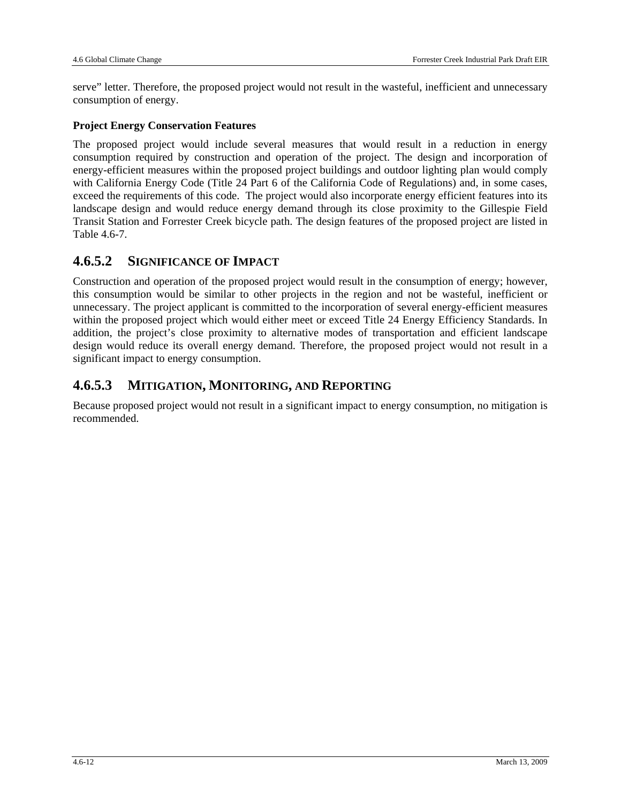serve" letter. Therefore, the proposed project would not result in the wasteful, inefficient and unnecessary consumption of energy.

#### **Project Energy Conservation Features**

The proposed project would include several measures that would result in a reduction in energy consumption required by construction and operation of the project. The design and incorporation of energy-efficient measures within the proposed project buildings and outdoor lighting plan would comply with California Energy Code (Title 24 Part 6 of the California Code of Regulations) and, in some cases, exceed the requirements of this code. The project would also incorporate energy efficient features into its landscape design and would reduce energy demand through its close proximity to the Gillespie Field Transit Station and Forrester Creek bicycle path. The design features of the proposed project are listed in Table 4.6-7.

## **4.6.5.2 SIGNIFICANCE OF IMPACT**

Construction and operation of the proposed project would result in the consumption of energy; however, this consumption would be similar to other projects in the region and not be wasteful, inefficient or unnecessary. The project applicant is committed to the incorporation of several energy-efficient measures within the proposed project which would either meet or exceed Title 24 Energy Efficiency Standards. In addition, the project's close proximity to alternative modes of transportation and efficient landscape design would reduce its overall energy demand. Therefore, the proposed project would not result in a significant impact to energy consumption.

### **4.6.5.3 MITIGATION, MONITORING, AND REPORTING**

Because proposed project would not result in a significant impact to energy consumption, no mitigation is recommended.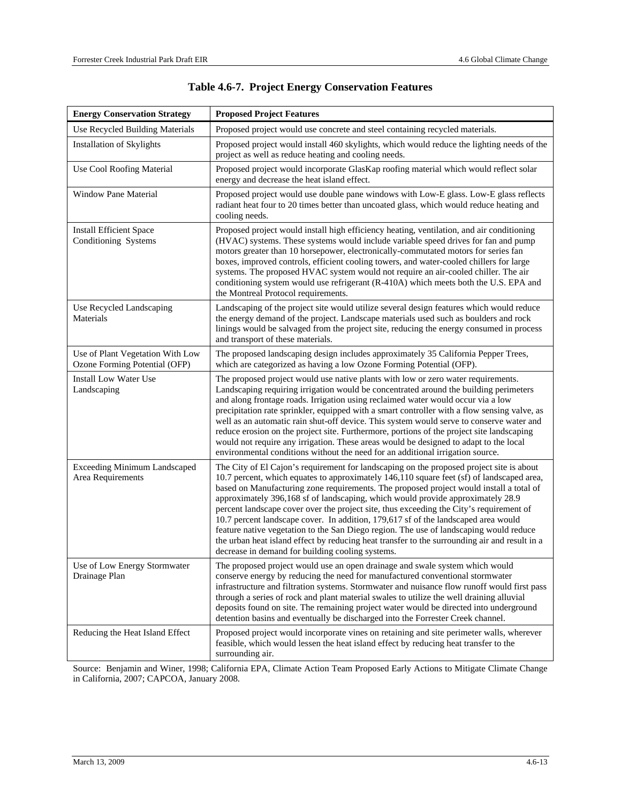| <b>Energy Conservation Strategy</b>                               | <b>Proposed Project Features</b>                                                                                                                                                                                                                                                                                                                                                                                                                                                                                                                                                                                                                                                                                                                                                                    |
|-------------------------------------------------------------------|-----------------------------------------------------------------------------------------------------------------------------------------------------------------------------------------------------------------------------------------------------------------------------------------------------------------------------------------------------------------------------------------------------------------------------------------------------------------------------------------------------------------------------------------------------------------------------------------------------------------------------------------------------------------------------------------------------------------------------------------------------------------------------------------------------|
| Use Recycled Building Materials                                   | Proposed project would use concrete and steel containing recycled materials.                                                                                                                                                                                                                                                                                                                                                                                                                                                                                                                                                                                                                                                                                                                        |
| <b>Installation of Skylights</b>                                  | Proposed project would install 460 skylights, which would reduce the lighting needs of the<br>project as well as reduce heating and cooling needs.                                                                                                                                                                                                                                                                                                                                                                                                                                                                                                                                                                                                                                                  |
| Use Cool Roofing Material                                         | Proposed project would incorporate GlasKap roofing material which would reflect solar<br>energy and decrease the heat island effect.                                                                                                                                                                                                                                                                                                                                                                                                                                                                                                                                                                                                                                                                |
| Window Pane Material                                              | Proposed project would use double pane windows with Low-E glass. Low-E glass reflects<br>radiant heat four to 20 times better than uncoated glass, which would reduce heating and<br>cooling needs.                                                                                                                                                                                                                                                                                                                                                                                                                                                                                                                                                                                                 |
| <b>Install Efficient Space</b><br>Conditioning Systems            | Proposed project would install high efficiency heating, ventilation, and air conditioning<br>(HVAC) systems. These systems would include variable speed drives for fan and pump<br>motors greater than 10 horsepower, electronically-commutated motors for series fan<br>boxes, improved controls, efficient cooling towers, and water-cooled chillers for large<br>systems. The proposed HVAC system would not require an air-cooled chiller. The air<br>conditioning system would use refrigerant (R-410A) which meets both the U.S. EPA and<br>the Montreal Protocol requirements.                                                                                                                                                                                                               |
| Use Recycled Landscaping<br>Materials                             | Landscaping of the project site would utilize several design features which would reduce<br>the energy demand of the project. Landscape materials used such as boulders and rock<br>linings would be salvaged from the project site, reducing the energy consumed in process<br>and transport of these materials.                                                                                                                                                                                                                                                                                                                                                                                                                                                                                   |
| Use of Plant Vegetation With Low<br>Ozone Forming Potential (OFP) | The proposed landscaping design includes approximately 35 California Pepper Trees,<br>which are categorized as having a low Ozone Forming Potential (OFP).                                                                                                                                                                                                                                                                                                                                                                                                                                                                                                                                                                                                                                          |
| <b>Install Low Water Use</b><br>Landscaping                       | The proposed project would use native plants with low or zero water requirements.<br>Landscaping requiring irrigation would be concentrated around the building perimeters<br>and along frontage roads. Irrigation using reclaimed water would occur via a low<br>precipitation rate sprinkler, equipped with a smart controller with a flow sensing valve, as<br>well as an automatic rain shut-off device. This system would serve to conserve water and<br>reduce erosion on the project site. Furthermore, portions of the project site landscaping<br>would not require any irrigation. These areas would be designed to adapt to the local<br>environmental conditions without the need for an additional irrigation source.                                                                  |
| <b>Exceeding Minimum Landscaped</b><br>Area Requirements          | The City of El Cajon's requirement for landscaping on the proposed project site is about<br>10.7 percent, which equates to approximately 146,110 square feet (sf) of landscaped area,<br>based on Manufacturing zone requirements. The proposed project would install a total of<br>approximately 396,168 sf of landscaping, which would provide approximately 28.9<br>percent landscape cover over the project site, thus exceeding the City's requirement of<br>10.7 percent landscape cover. In addition, 179,617 sf of the landscaped area would<br>feature native vegetation to the San Diego region. The use of landscaping would reduce<br>the urban heat island effect by reducing heat transfer to the surrounding air and result in a<br>decrease in demand for building cooling systems. |
| Use of Low Energy Stormwater<br>Drainage Plan                     | The proposed project would use an open drainage and swale system which would<br>conserve energy by reducing the need for manufactured conventional stormwater<br>infrastructure and filtration systems. Stormwater and nuisance flow runoff would first pass<br>through a series of rock and plant material swales to utilize the well draining alluvial<br>deposits found on site. The remaining project water would be directed into underground<br>detention basins and eventually be discharged into the Forrester Creek channel.                                                                                                                                                                                                                                                               |
| Reducing the Heat Island Effect                                   | Proposed project would incorporate vines on retaining and site perimeter walls, wherever<br>feasible, which would lessen the heat island effect by reducing heat transfer to the<br>surrounding air.                                                                                                                                                                                                                                                                                                                                                                                                                                                                                                                                                                                                |

Source: Benjamin and Winer, 1998; California EPA, Climate Action Team Proposed Early Actions to Mitigate Climate Change in California, 2007; CAPCOA, January 2008.